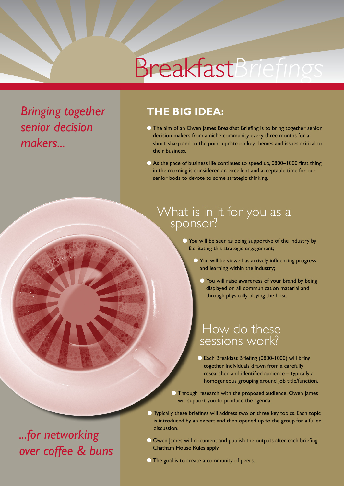# Breakfast*Briefings*

*Bringing together senior decision makers...*

### **The big idea:**

- **O** The aim of an Owen James Breakfast Briefing is to bring together senior decision makers from a niche community every three months for a short, sharp and to the point update on key themes and issues critical to their business.
- C As the pace of business life continues to speed up, 0800–1000 first thing in the morning is considered an excellent and acceptable time for our senior bods to devote to some strategic thinking.

## What is in it for you as a<br>sponsor?

l You will be seen as being supportive of the industry by facilitating this strategic engagement;

- **O** You will be viewed as actively influencing progress and learning within the industry;
	- **C** You will raise awareness of your brand by being displayed on all communication material and through physically playing the host.

## How do these sessions work?

- **Each Breakfast Briefing (0800-1000) will bring** together individuals drawn from a carefully researched and identified audience – typically a homogeneous grouping around job title/function.
- l Through research with the proposed audience, Owen James will support you to produce the agenda.
- l Typically these briefings will address two or three key topics. Each topic is introduced by an expert and then opened up to the group for a fuller discussion.
- **O** Owen James will document and publish the outputs after each briefing. Chatham House Rules apply.
- **In The goal is to create a community of peers.**

## *...for networking over coffee & buns*